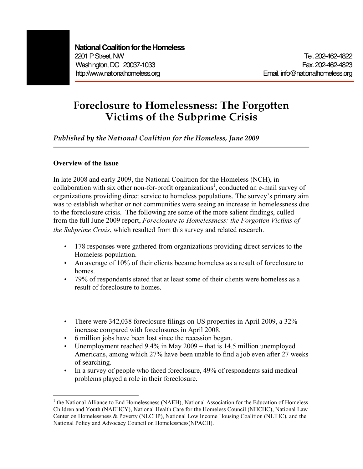# **Foreclosure to Homelessness: The Forgotten Victims of the Subprime Crisis**

*Published by the National Coalition for the Homeless, June 2009*

## **Overview of the Issue**

In late 2008 and early 2009, the National Coalition for the Homeless (NCH), in collaboration with six other non-for-profit organizations 1 , conducted an e-mail survey of organizations providing direct service to homeless populations. The survey's primary aim was to establish whether or not communities were seeing an increase in homelessness due to the foreclosure crisis. The following are some of the more salient findings, culled from the full June 2009 report, *Foreclosure to Homelessness: the Forgotten Victims of the Subprime Crisis*, which resulted from this survey and related research.

- 178 responses were gathered from organizations providing direct services to the Homeless population.
- An average of 10% of their clients became homeless as a result of foreclosure to homes.
- 79% of respondents stated that at least some of their clients were homeless as a result of foreclosure to homes.
- There were 342,038 foreclosure filings on US properties in April 2009, a 32% increase compared with foreclosures in April 2008.
- 6 million jobs have been lost since the recession began.
- Unemployment reached 9.4% in May 2009 that is 14.5 million unemployed Americans, among which 27% have been unable to find a job even after 27 weeks of searching.
- In a survey of people who faced foreclosure, 49% of respondents said medical problems played a role in their foreclosure.

 $<sup>1</sup>$  the National Alliance to End Homelessness (NAEH), National Association for the Education of Homeless</sup> Children and Youth (NAEHCY), National Health Care for the Homeless Council (NHCHC), National Law Center on Homelessness & Poverty (NLCHP), National Low Income Housing Coalition (NLIHC), and the National Policy and Advocacy Council on Homelessness(NPACH).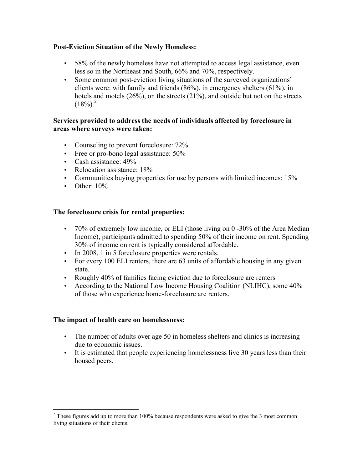## **Post-Eviction Situation of the Newly Homeless:**

- 58% of the newly homeless have not attempted to access legal assistance, even less so in the Northeast and South, 66% and 70%, respectively.
- Some common post-eviction living situations of the surveyed organizations' clients were: with family and friends (86%), in emergency shelters (61%), in hotels and motels (26%), on the streets (21%), and outside but not on the streets  $(18%)<sup>2</sup>$

#### **Services provided to address the needs of individuals affected by foreclosure in areas where surveys were taken:**

- Counseling to prevent foreclosure:  $72\%$
- Free or pro-bono legal assistance: 50%
- Cash assistance: 49%
- Relocation assistance: 18%
- Communities buying properties for use by persons with limited incomes: 15%
- Other:  $10\%$

## **The foreclosure crisis for rental properties:**

- 70% of extremely low income, or ELI (those living on 0 -30% of the Area Median Income), participants admitted to spending 50% of their income on rent. Spending 30% of income on rent is typically considered affordable.
- In 2008, 1 in 5 foreclosure properties were rentals.
- For every 100 ELI renters, there are 63 units of affordable housing in any given state.
- Roughly 40% of families facing eviction due to foreclosure are renters
- According to the National Low Income Housing Coalition (NLIHC), some 40% of those who experience home-foreclosure are renters.

## **The impact of health care on homelessness:**

- The number of adults over age 50 in homeless shelters and clinics is increasing due to economic issues.
- It is estimated that people experiencing homelessness live 30 years less than their housed peers.

<sup>&</sup>lt;sup>2</sup> These figures add up to more than 100% because respondents were asked to give the 3 most common living situations of their clients.